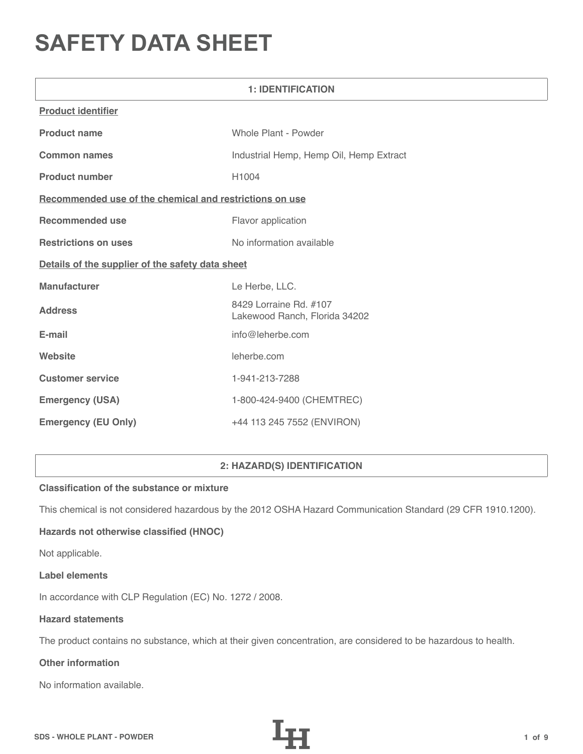# **SAFETY DATA SHEET**

| <b>1: IDENTIFICATION</b>                                |                                                         |  |
|---------------------------------------------------------|---------------------------------------------------------|--|
| <b>Product identifier</b>                               |                                                         |  |
| <b>Product name</b>                                     | Whole Plant - Powder                                    |  |
| <b>Common names</b>                                     | Industrial Hemp, Hemp Oil, Hemp Extract                 |  |
| <b>Product number</b>                                   | H1004                                                   |  |
| Recommended use of the chemical and restrictions on use |                                                         |  |
| <b>Recommended use</b>                                  | Flavor application                                      |  |
| <b>Restrictions on uses</b>                             | No information available                                |  |
| Details of the supplier of the safety data sheet        |                                                         |  |
| <b>Manufacturer</b>                                     | Le Herbe, LLC.                                          |  |
| <b>Address</b>                                          | 8429 Lorraine Rd. #107<br>Lakewood Ranch, Florida 34202 |  |
| E-mail                                                  | info@leherbe.com                                        |  |
| Website                                                 | leherbe.com                                             |  |
| <b>Customer service</b>                                 | 1-941-213-7288                                          |  |
| <b>Emergency (USA)</b>                                  | 1-800-424-9400 (CHEMTREC)                               |  |
| <b>Emergency (EU Only)</b>                              | +44 113 245 7552 (ENVIRON)                              |  |

# **2: HAZARD(S) IDENTIFICATION**

# **Classification of the substance or mixture**

This chemical is not considered hazardous by the 2012 OSHA Hazard Communication Standard (29 CFR 1910.1200).

# **Hazards not otherwise classified (HNOC)**

Not applicable.

#### **Label elements**

In accordance with CLP Regulation (EC) No. 1272 / 2008.

#### **Hazard statements**

The product contains no substance, which at their given concentration, are considered to be hazardous to health.

# **Other information**

No information available.

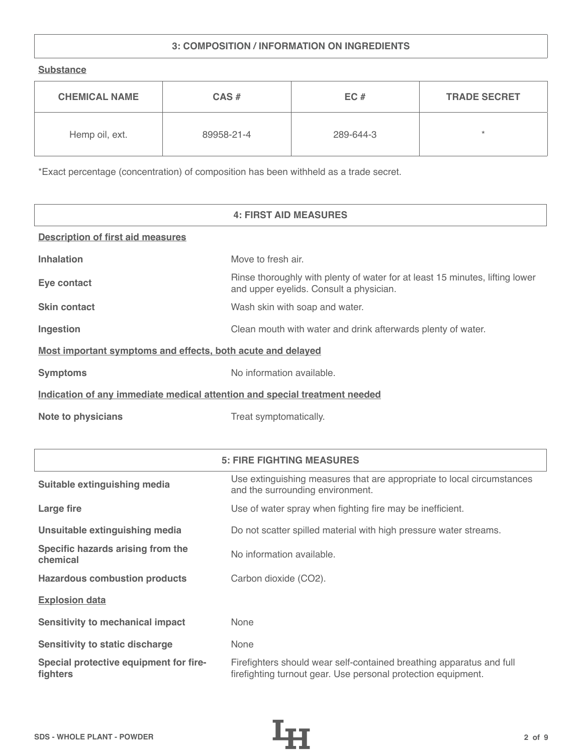# **3: COMPOSITION / INFORMATION ON INGREDIENTS**

**Substance**

| <b>CHEMICAL NAME</b> | $CAS \#$   | EC#       | <b>TRADE SECRET</b> |
|----------------------|------------|-----------|---------------------|
| Hemp oil, ext.       | 89958-21-4 | 289-644-3 | ÷                   |

\*Exact percentage (concentration) of composition has been withheld as a trade secret.

|                                                                            | <b>4: FIRST AID MEASURES</b>                                                                                            |
|----------------------------------------------------------------------------|-------------------------------------------------------------------------------------------------------------------------|
| <b>Description of first aid measures</b>                                   |                                                                                                                         |
| <b>Inhalation</b>                                                          | Move to fresh air.                                                                                                      |
| Eye contact                                                                | Rinse thoroughly with plenty of water for at least 15 minutes, lifting lower<br>and upper eyelids. Consult a physician. |
| <b>Skin contact</b>                                                        | Wash skin with soap and water.                                                                                          |
| Ingestion                                                                  | Clean mouth with water and drink afterwards plenty of water.                                                            |
| Most important symptoms and effects, both acute and delayed                |                                                                                                                         |
| <b>Symptoms</b>                                                            | No information available.                                                                                               |
| Indication of any immediate medical attention and special treatment needed |                                                                                                                         |
| <b>Note to physicians</b>                                                  | Treat symptomatically.                                                                                                  |

|                                                    | <b>5: FIRE FIGHTING MEASURES</b>                                                                                                      |
|----------------------------------------------------|---------------------------------------------------------------------------------------------------------------------------------------|
| Suitable extinguishing media                       | Use extinguishing measures that are appropriate to local circumstances<br>and the surrounding environment.                            |
| Large fire                                         | Use of water spray when fighting fire may be inefficient.                                                                             |
| Unsuitable extinguishing media                     | Do not scatter spilled material with high pressure water streams.                                                                     |
| Specific hazards arising from the<br>chemical      | No information available.                                                                                                             |
| <b>Hazardous combustion products</b>               | Carbon dioxide (CO2).                                                                                                                 |
| <b>Explosion data</b>                              |                                                                                                                                       |
| <b>Sensitivity to mechanical impact</b>            | None                                                                                                                                  |
| <b>Sensitivity to static discharge</b>             | None                                                                                                                                  |
| Special protective equipment for fire-<br>fighters | Firefighters should wear self-contained breathing apparatus and full<br>firefighting turnout gear. Use personal protection equipment. |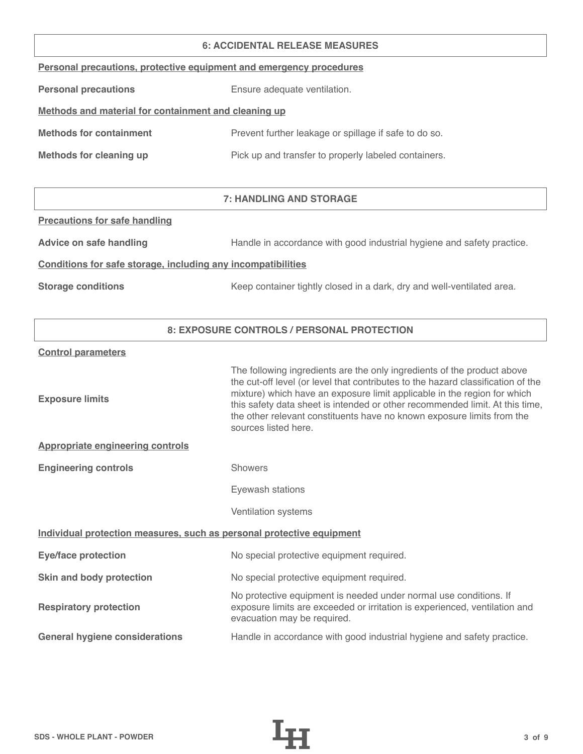#### **6: ACCIDENTAL RELEASE MEASURES**

|  |  | Personal precautions, protective equipment and emergency procedures |  |
|--|--|---------------------------------------------------------------------|--|
|  |  |                                                                     |  |

**Personal precautions** Ensure adequate ventilation.

# **Methods and material for containment and cleaning up**

| <b>Methods for containment</b> | Prevent further leakage or spillage if safe to do so. |
|--------------------------------|-------------------------------------------------------|
|                                |                                                       |

**Methods for cleaning up Pick up and transfer to properly labeled containers.** 

# **7: HANDLING AND STORAGE**

#### **Precautions for safe handling**

Advice on safe handling **Handle in accordance with good industrial hygiene and safety practice.** 

### **Conditions for safe storage, including any incompatibilities**

**Storage conditions** Keep container tightly closed in a dark, dry and well-ventilated area.

# **8: EXPOSURE CONTROLS / PERSONAL PROTECTION**

#### **Control parameters**

| <b>Exposure limits</b>                                                | The following ingredients are the only ingredients of the product above<br>the cut-off level (or level that contributes to the hazard classification of the<br>mixture) which have an exposure limit applicable in the region for which<br>this safety data sheet is intended or other recommended limit. At this time,<br>the other relevant constituents have no known exposure limits from the<br>sources listed here. |
|-----------------------------------------------------------------------|---------------------------------------------------------------------------------------------------------------------------------------------------------------------------------------------------------------------------------------------------------------------------------------------------------------------------------------------------------------------------------------------------------------------------|
| <b>Appropriate engineering controls</b>                               |                                                                                                                                                                                                                                                                                                                                                                                                                           |
| <b>Engineering controls</b>                                           | <b>Showers</b>                                                                                                                                                                                                                                                                                                                                                                                                            |
|                                                                       | Eyewash stations                                                                                                                                                                                                                                                                                                                                                                                                          |
|                                                                       | Ventilation systems                                                                                                                                                                                                                                                                                                                                                                                                       |
| Individual protection measures, such as personal protective equipment |                                                                                                                                                                                                                                                                                                                                                                                                                           |
| <b>Eye/face protection</b>                                            | No special protective equipment required.                                                                                                                                                                                                                                                                                                                                                                                 |
| Skin and body protection                                              | No special protective equipment required.                                                                                                                                                                                                                                                                                                                                                                                 |
| <b>Respiratory protection</b>                                         | No protective equipment is needed under normal use conditions. If<br>exposure limits are exceeded or irritation is experienced, ventilation and<br>evacuation may be required.                                                                                                                                                                                                                                            |
| <b>General hygiene considerations</b>                                 | Handle in accordance with good industrial hygiene and safety practice.                                                                                                                                                                                                                                                                                                                                                    |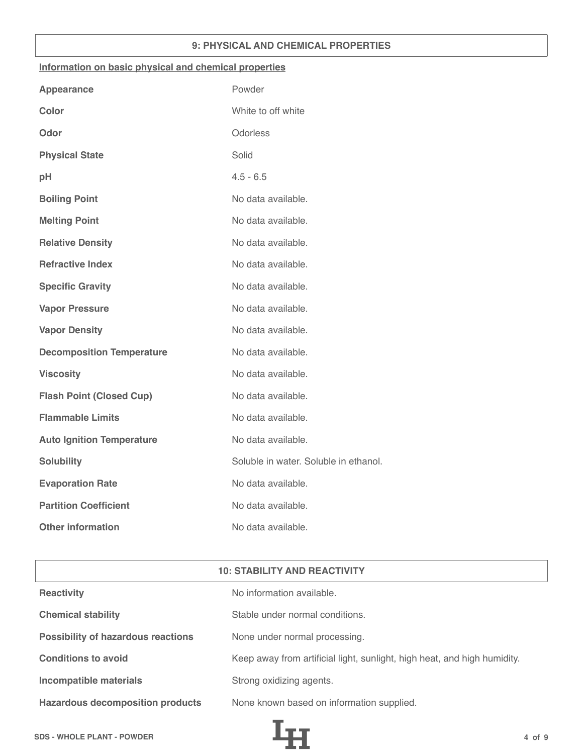## **9: PHYSICAL AND CHEMICAL PROPERTIES**

#### **Information on basic physical and chemical properties**

| <b>Appearance</b>                | Powder                                |
|----------------------------------|---------------------------------------|
| <b>Color</b>                     | White to off white                    |
| Odor                             | Odorless                              |
| <b>Physical State</b>            | Solid                                 |
| pH                               | $4.5 - 6.5$                           |
| <b>Boiling Point</b>             | No data available.                    |
| <b>Melting Point</b>             | No data available.                    |
| <b>Relative Density</b>          | No data available.                    |
| <b>Refractive Index</b>          | No data available.                    |
| <b>Specific Gravity</b>          | No data available.                    |
| <b>Vapor Pressure</b>            | No data available.                    |
| <b>Vapor Density</b>             | No data available.                    |
| <b>Decomposition Temperature</b> | No data available.                    |
| <b>Viscosity</b>                 | No data available.                    |
| <b>Flash Point (Closed Cup)</b>  | No data available.                    |
| <b>Flammable Limits</b>          | No data available.                    |
| <b>Auto Ignition Temperature</b> | No data available.                    |
| <b>Solubility</b>                | Soluble in water. Soluble in ethanol. |
| <b>Evaporation Rate</b>          | No data available.                    |
| <b>Partition Coefficient</b>     | No data available.                    |
| <b>Other information</b>         | No data available.                    |

| <b>10: STABILITY AND REACTIVITY</b> |  |
|-------------------------------------|--|
|-------------------------------------|--|

| <b>Reactivity</b>                         | No information available.                                                |
|-------------------------------------------|--------------------------------------------------------------------------|
| <b>Chemical stability</b>                 | Stable under normal conditions.                                          |
| <b>Possibility of hazardous reactions</b> | None under normal processing.                                            |
| <b>Conditions to avoid</b>                | Keep away from artificial light, sunlight, high heat, and high humidity. |
| Incompatible materials                    | Strong oxidizing agents.                                                 |
| <b>Hazardous decomposition products</b>   | None known based on information supplied.                                |

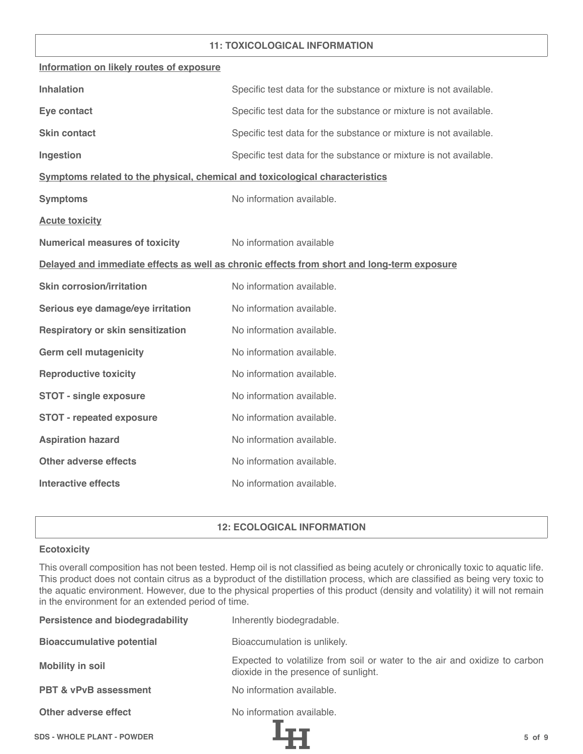### **11: TOXICOLOGICAL INFORMATION**

| Information on likely routes of exposure                                     |                                                                                            |
|------------------------------------------------------------------------------|--------------------------------------------------------------------------------------------|
| <b>Inhalation</b>                                                            | Specific test data for the substance or mixture is not available.                          |
| Eye contact                                                                  | Specific test data for the substance or mixture is not available.                          |
| <b>Skin contact</b>                                                          | Specific test data for the substance or mixture is not available.                          |
| Ingestion                                                                    | Specific test data for the substance or mixture is not available.                          |
| Symptoms related to the physical, chemical and toxicological characteristics |                                                                                            |
| <b>Symptoms</b>                                                              | No information available.                                                                  |
| <b>Acute toxicity</b>                                                        |                                                                                            |
| <b>Numerical measures of toxicity</b>                                        | No information available                                                                   |
|                                                                              | Delayed and immediate effects as well as chronic effects from short and long-term exposure |
| <b>Skin corrosion/irritation</b>                                             | No information available.                                                                  |
| Serious eye damage/eye irritation                                            | No information available.                                                                  |
| <b>Respiratory or skin sensitization</b>                                     | No information available.                                                                  |
| <b>Germ cell mutagenicity</b>                                                | No information available.                                                                  |
| <b>Reproductive toxicity</b>                                                 | No information available.                                                                  |
| <b>STOT - single exposure</b>                                                | No information available.                                                                  |
| <b>STOT - repeated exposure</b>                                              | No information available.                                                                  |
| <b>Aspiration hazard</b>                                                     | No information available.                                                                  |
| <b>Other adverse effects</b>                                                 | No information available.                                                                  |
| <b>Interactive effects</b>                                                   | No information available.                                                                  |

# **12: ECOLOGICAL INFORMATION**

#### **Ecotoxicity**

This overall composition has not been tested. Hemp oil is not classified as being acutely or chronically toxic to aquatic life. This product does not contain citrus as a byproduct of the distillation process, which are classified as being very toxic to the aquatic environment. However, due to the physical properties of this product (density and volatility) it will not remain in the environment for an extended period of time.

| <b>Persistence and biodegradability</b> | Inherently biodegradable.                                                                                          |
|-----------------------------------------|--------------------------------------------------------------------------------------------------------------------|
| <b>Bioaccumulative potential</b>        | Bioaccumulation is unlikely.                                                                                       |
| <b>Mobility in soil</b>                 | Expected to volatilize from soil or water to the air and oxidize to carbon<br>dioxide in the presence of sunlight. |
| <b>PBT &amp; vPvB assessment</b>        | No information available.                                                                                          |
| Other adverse effect                    | No information available.                                                                                          |
| <b>SDS - WHOLE PLANT - POWDER</b>       | $5$ of $9$                                                                                                         |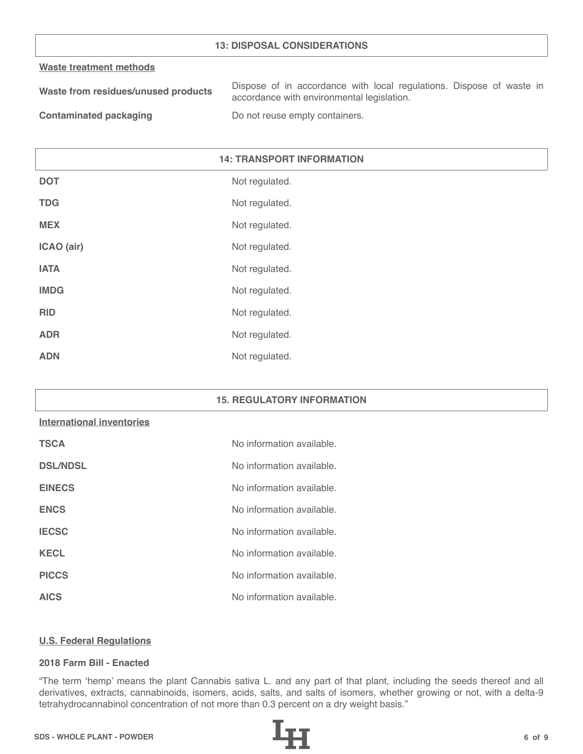## **13: DISPOSAL CONSIDERATIONS**

#### **Waste treatment methods**

| Waste from residues/unused products | Dispose of in accordance with local regulations. Dispose of waste in |
|-------------------------------------|----------------------------------------------------------------------|
|                                     | accordance with environmental legislation.                           |
|                                     |                                                                      |

**Contaminated packaging The Contaminated packaging Containers.** 

# **14: TRANSPORT INFORMATION**

| <b>DOT</b>  | Not regulated. |
|-------------|----------------|
| <b>TDG</b>  | Not regulated. |
| <b>MEX</b>  | Not regulated. |
| ICAO (air)  | Not regulated. |
| <b>IATA</b> | Not regulated. |
| <b>IMDG</b> | Not regulated. |
| <b>RID</b>  | Not regulated. |
| <b>ADR</b>  | Not regulated. |
| <b>ADN</b>  | Not regulated. |

#### **15. REGULATORY INFORMATION**

# **International inventories**

| <b>TSCA</b>     | No information available. |
|-----------------|---------------------------|
| <b>DSL/NDSL</b> | No information available. |
| <b>EINECS</b>   | No information available. |
| <b>ENCS</b>     | No information available. |
| <b>IECSC</b>    | No information available. |
| <b>KECL</b>     | No information available. |
| <b>PICCS</b>    | No information available. |
| <b>AICS</b>     | No information available. |

#### **U.S. Federal Regulations**

# **2018 Farm Bill - Enacted**

"The term 'hemp' means the plant Cannabis sativa L. and any part of that plant, including the seeds thereof and all derivatives, extracts, cannabinoids, isomers, acids, salts, and salts of isomers, whether growing or not, with a delta-9 tetrahydrocannabinol concentration of not more than 0.3 percent on a dry weight basis."

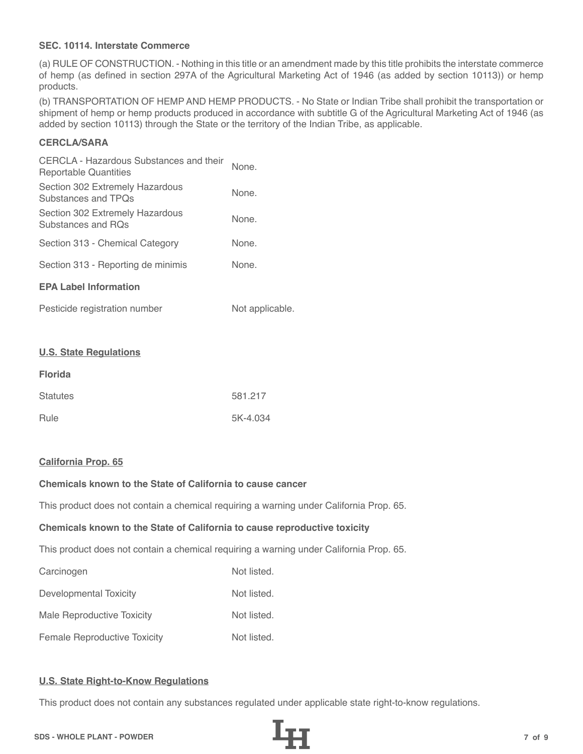# **SEC. 10114. Interstate Commerce**

(a) RULE OF CONSTRUCTION. - Nothing in this title or an amendment made by this title prohibits the interstate commerce of hemp (as defined in section 297A of the Agricultural Marketing Act of 1946 (as added by section 10113)) or hemp products.

(b) TRANSPORTATION OF HEMP AND HEMP PRODUCTS. - No State or Indian Tribe shall prohibit the transportation or shipment of hemp or hemp products produced in accordance with subtitle G of the Agricultural Marketing Act of 1946 (as added by section 10113) through the State or the territory of the Indian Tribe, as applicable.

# **CERCLA/SARA**

| CERCLA - Hazardous Substances and their<br>Reportable Quantities | None. |
|------------------------------------------------------------------|-------|
| Section 302 Extremely Hazardous<br>Substances and TPOs           | None. |
| Section 302 Extremely Hazardous<br>Substances and ROs            | None. |
| Section 313 - Chemical Category                                  | None. |
| Section 313 - Reporting de minimis                               | None. |
| <b>EPA Label Information</b>                                     |       |
|                                                                  |       |

| Pesticide registration number | Not applicable. |
|-------------------------------|-----------------|
|-------------------------------|-----------------|

#### **U.S. State Regulations**

| <b>Florida</b>  |          |
|-----------------|----------|
| <b>Statutes</b> | 581.217  |
| Rule            | 5K-4.034 |

#### **California Prop. 65**

# **Chemicals known to the State of California to cause cancer**

This product does not contain a chemical requiring a warning under California Prop. 65.

#### **Chemicals known to the State of California to cause reproductive toxicity**

This product does not contain a chemical requiring a warning under California Prop. 65.

| Carcinogen                          | Not listed. |
|-------------------------------------|-------------|
| Developmental Toxicity              | Not listed. |
| Male Reproductive Toxicity          | Not listed. |
| <b>Female Reproductive Toxicity</b> | Not listed. |

# **U.S. State Right-to-Know Regulations**

This product does not contain any substances regulated under applicable state right-to-know regulations.

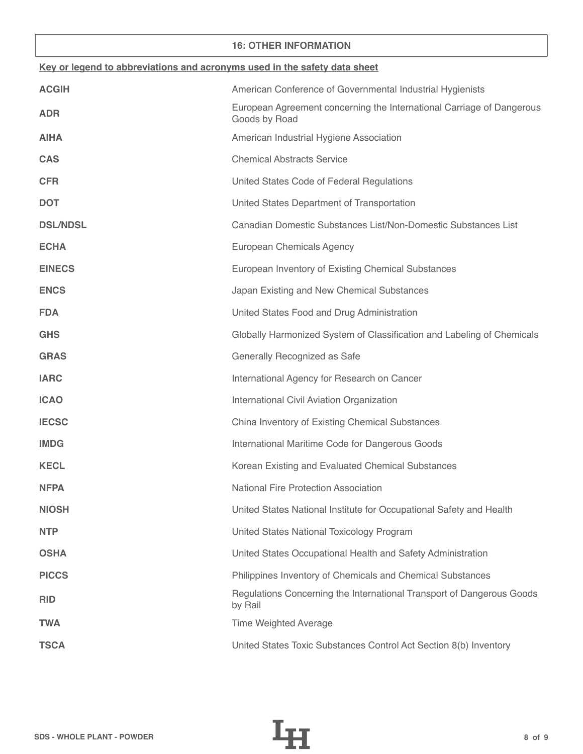### **16: OTHER INFORMATION**

| Key or legend to abbreviations and acronyms used in the safety data sheet |                                                                                        |
|---------------------------------------------------------------------------|----------------------------------------------------------------------------------------|
| <b>ACGIH</b>                                                              | American Conference of Governmental Industrial Hygienists                              |
| <b>ADR</b>                                                                | European Agreement concerning the International Carriage of Dangerous<br>Goods by Road |
| <b>AIHA</b>                                                               | American Industrial Hygiene Association                                                |
| <b>CAS</b>                                                                | <b>Chemical Abstracts Service</b>                                                      |
| <b>CFR</b>                                                                | United States Code of Federal Regulations                                              |
| <b>DOT</b>                                                                | United States Department of Transportation                                             |
| <b>DSL/NDSL</b>                                                           | Canadian Domestic Substances List/Non-Domestic Substances List                         |
| <b>ECHA</b>                                                               | European Chemicals Agency                                                              |
| <b>EINECS</b>                                                             | European Inventory of Existing Chemical Substances                                     |
| <b>ENCS</b>                                                               | Japan Existing and New Chemical Substances                                             |
| <b>FDA</b>                                                                | United States Food and Drug Administration                                             |
| <b>GHS</b>                                                                | Globally Harmonized System of Classification and Labeling of Chemicals                 |
| <b>GRAS</b>                                                               | Generally Recognized as Safe                                                           |
| <b>IARC</b>                                                               | International Agency for Research on Cancer                                            |
| <b>ICAO</b>                                                               | International Civil Aviation Organization                                              |
| <b>IECSC</b>                                                              | China Inventory of Existing Chemical Substances                                        |
| <b>IMDG</b>                                                               | International Maritime Code for Dangerous Goods                                        |
| <b>KECL</b>                                                               | Korean Existing and Evaluated Chemical Substances                                      |
| <b>NFPA</b>                                                               | <b>National Fire Protection Association</b>                                            |
| <b>NIOSH</b>                                                              | United States National Institute for Occupational Safety and Health                    |
| <b>NTP</b>                                                                | United States National Toxicology Program                                              |
| <b>OSHA</b>                                                               | United States Occupational Health and Safety Administration                            |
| <b>PICCS</b>                                                              | Philippines Inventory of Chemicals and Chemical Substances                             |
| <b>RID</b>                                                                | Regulations Concerning the International Transport of Dangerous Goods<br>by Rail       |
| <b>TWA</b>                                                                | <b>Time Weighted Average</b>                                                           |
| <b>TSCA</b>                                                               | United States Toxic Substances Control Act Section 8(b) Inventory                      |